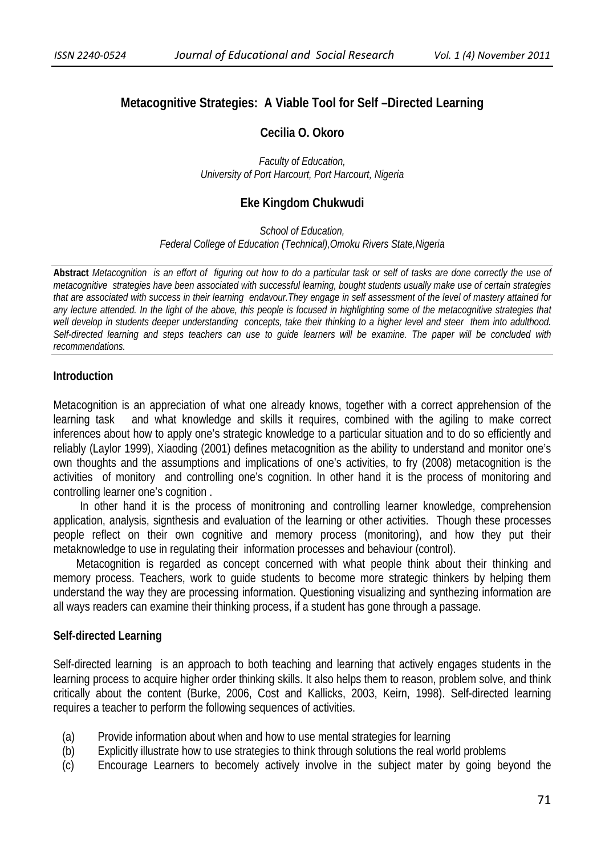# **Metacognitive Strategies: A Viable Tool for Self –Directed Learning**

#### **Cecilia O. Okoro**

*Faculty of Education, University of Port Harcourt, Port Harcourt, Nigeria*

#### **Eke Kingdom Chukwudi**

*School of Education, Federal College of Education (Technical),Omoku Rivers State,Nigeria* 

**Abstract** *Metacognition is an effort of figuring out how to do a particular task or self of tasks are done correctly the use of metacognitive strategies have been associated with successful learning, bought students usually make use of certain strategies that are associated with success in their learning endavour.They engage in self assessment of the level of mastery attained for*  any lecture attended. In the light of the above, this people is focused in highlighting some of the metacognitive strategies that *well develop in students deeper understanding concepts, take their thinking to a higher level and steer them into adulthood. Self-directed learning and steps teachers can use to guide learners will be examine. The paper will be concluded with recommendations.* 

#### **Introduction**

Metacognition is an appreciation of what one already knows, together with a correct apprehension of the learning task and what knowledge and skills it requires, combined with the agiling to make correct inferences about how to apply one's strategic knowledge to a particular situation and to do so efficiently and reliably (Laylor 1999), Xiaoding (2001) defines metacognition as the ability to understand and monitor one's own thoughts and the assumptions and implications of one's activities, to fry (2008) metacognition is the activities of monitory and controlling one's cognition. In other hand it is the process of monitoring and controlling learner one's cognition .

 In other hand it is the process of monitroning and controlling learner knowledge, comprehension application, analysis, signthesis and evaluation of the learning or other activities. Though these processes people reflect on their own cognitive and memory process (monitoring), and how they put their metaknowledge to use in regulating their information processes and behaviour (control).

 Metacognition is regarded as concept concerned with what people think about their thinking and memory process. Teachers, work to guide students to become more strategic thinkers by helping them understand the way they are processing information. Questioning visualizing and synthezing information are all ways readers can examine their thinking process, if a student has gone through a passage.

#### **Self-directed Learning**

Self-directed learning is an approach to both teaching and learning that actively engages students in the learning process to acquire higher order thinking skills. It also helps them to reason, problem solve, and think critically about the content (Burke, 2006, Cost and Kallicks, 2003, Keirn, 1998). Self-directed learning requires a teacher to perform the following sequences of activities.

- (a) Provide information about when and how to use mental strategies for learning
- (b) Explicitly illustrate how to use strategies to think through solutions the real world problems
- (c) Encourage Learners to becomely actively involve in the subject mater by going beyond the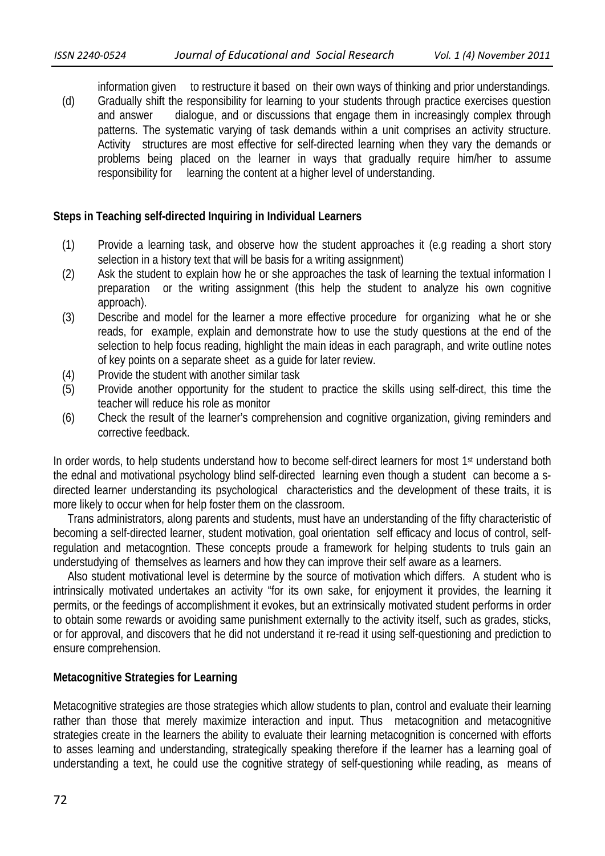information given to restructure it based on their own ways of thinking and prior understandings. (d) Gradually shift the responsibility for learning to your students through practice exercises question and answer dialogue, and or discussions that engage them in increasingly complex through patterns. The systematic varying of task demands within a unit comprises an activity structure. Activity structures are most effective for self-directed learning when they vary the demands or problems being placed on the learner in ways that gradually require him/her to assume responsibility for learning the content at a higher level of understanding.

# **Steps in Teaching self-directed Inquiring in Individual Learners**

- (1) Provide a learning task, and observe how the student approaches it (e.g reading a short story selection in a history text that will be basis for a writing assignment)
- (2) Ask the student to explain how he or she approaches the task of learning the textual information I preparation or the writing assignment (this help the student to analyze his own cognitive approach).
- (3) Describe and model for the learner a more effective procedure for organizing what he or she reads, for example, explain and demonstrate how to use the study questions at the end of the selection to help focus reading, highlight the main ideas in each paragraph, and write outline notes of key points on a separate sheet as a guide for later review.
- (4) Provide the student with another similar task
- (5) Provide another opportunity for the student to practice the skills using self-direct, this time the teacher will reduce his role as monitor
- (6) Check the result of the learner's comprehension and cognitive organization, giving reminders and corrective feedback.

In order words, to help students understand how to become self-direct learners for most 1<sup>st</sup> understand both the ednal and motivational psychology blind self-directed learning even though a student can become a sdirected learner understanding its psychological characteristics and the development of these traits, it is more likely to occur when for help foster them on the classroom.

 Trans administrators, along parents and students, must have an understanding of the fifty characteristic of becoming a self-directed learner, student motivation, goal orientation self efficacy and locus of control, selfregulation and metacogntion. These concepts proude a framework for helping students to truls gain an understudying of themselves as learners and how they can improve their self aware as a learners.

 Also student motivational level is determine by the source of motivation which differs. A student who is intrinsically motivated undertakes an activity "for its own sake, for enjoyment it provides, the learning it permits, or the feedings of accomplishment it evokes, but an extrinsically motivated student performs in order to obtain some rewards or avoiding same punishment externally to the activity itself, such as grades, sticks, or for approval, and discovers that he did not understand it re-read it using self-questioning and prediction to ensure comprehension.

# **Metacognitive Strategies for Learning**

Metacognitive strategies are those strategies which allow students to plan, control and evaluate their learning rather than those that merely maximize interaction and input. Thus metacognition and metacognitive strategies create in the learners the ability to evaluate their learning metacognition is concerned with efforts to asses learning and understanding, strategically speaking therefore if the learner has a learning goal of understanding a text, he could use the cognitive strategy of self-questioning while reading, as means of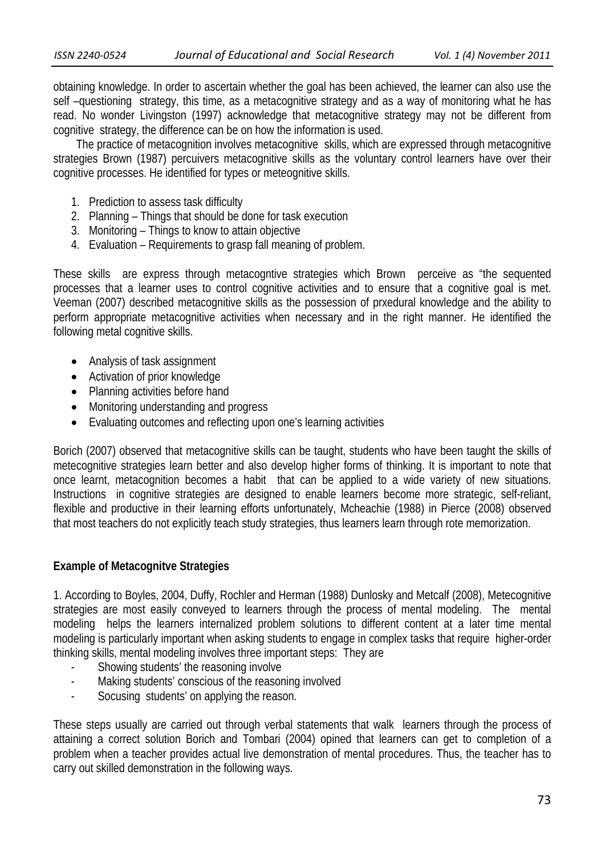obtaining knowledge. In order to ascertain whether the goal has been achieved, the learner can also use the self –questioning strategy, this time, as a metacognitive strategy and as a way of monitoring what he has read. No wonder Livingston (1997) acknowledge that metacognitive strategy may not be different from cognitive strategy, the difference can be on how the information is used.

 The practice of metacognition involves metacognitive skills, which are expressed through metacognitive strategies Brown (1987) percuivers metacognitive skills as the voluntary control learners have over their cognitive processes. He identified for types or meteognitive skills.

- 1. Prediction to assess task difficulty
- 2. Planning Things that should be done for task execution
- 3. Monitoring Things to know to attain objective
- 4. Evaluation Requirements to grasp fall meaning of problem.

These skills are express through metacogntive strategies which Brown perceive as "the sequented processes that a learner uses to control cognitive activities and to ensure that a cognitive goal is met. Veeman (2007) described metacognitive skills as the possession of prxedural knowledge and the ability to perform appropriate metacognitive activities when necessary and in the right manner. He identified the following metal cognitive skills.

- Analysis of task assignment
- Activation of prior knowledge
- Planning activities before hand
- Monitoring understanding and progress
- Evaluating outcomes and reflecting upon one's learning activities

Borich (2007) observed that metacognitive skills can be taught, students who have been taught the skills of metecognitive strategies learn better and also develop higher forms of thinking. It is important to note that once learnt, metacognition becomes a habit that can be applied to a wide variety of new situations. Instructions in cognitive strategies are designed to enable learners become more strategic, self-reliant, flexible and productive in their learning efforts unfortunately, Mcheachie (1988) in Pierce (2008) observed that most teachers do not explicitly teach study strategies, thus learners learn through rote memorization.

# **Example of Metacognitve Strategies**

1. According to Boyles, 2004, Duffy, Rochler and Herman (1988) Dunlosky and Metcalf (2008), Metecognitive strategies are most easily conveyed to learners through the process of mental modeling. The mental modeling helps the learners internalized problem solutions to different content at a later time mental modeling is particularly important when asking students to engage in complex tasks that require higher-order thinking skills, mental modeling involves three important steps: They are

- Showing students' the reasoning involve
- Making students' conscious of the reasoning involved
- Socusing students' on applying the reason.

These steps usually are carried out through verbal statements that walk learners through the process of attaining a correct solution Borich and Tombari (2004) opined that learners can get to completion of a problem when a teacher provides actual live demonstration of mental procedures. Thus, the teacher has to carry out skilled demonstration in the following ways.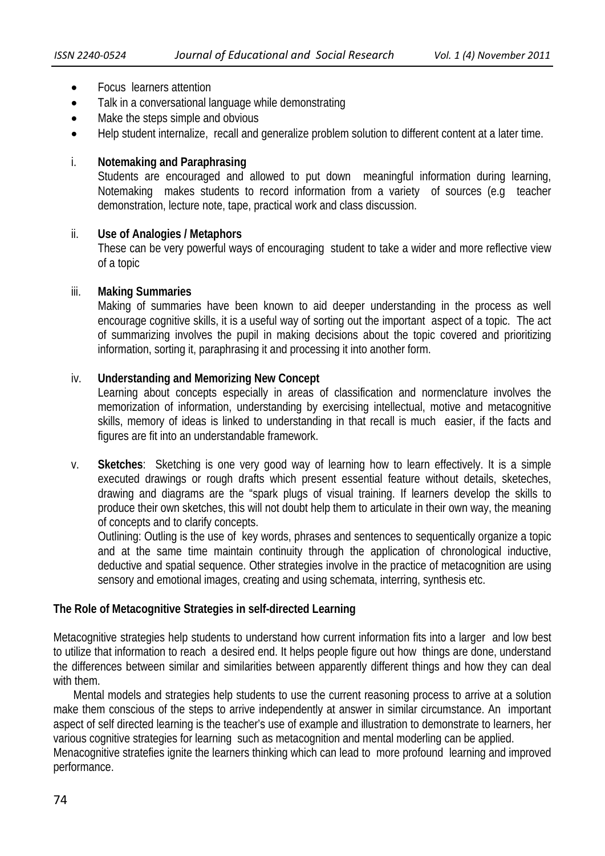- Focus learners attention
- Talk in a conversational language while demonstrating
- Make the steps simple and obvious
- Help student internalize, recall and generalize problem solution to different content at a later time.

# i. **Notemaking and Paraphrasing**

 Students are encouraged and allowed to put down meaningful information during learning, Notemaking makes students to record information from a variety of sources (e.g teacher demonstration, lecture note, tape, practical work and class discussion.

# ii. **Use of Analogies / Metaphors**

 These can be very powerful ways of encouraging student to take a wider and more reflective view of a topic

#### iii. **Making Summaries**

 Making of summaries have been known to aid deeper understanding in the process as well encourage cognitive skills, it is a useful way of sorting out the important aspect of a topic. The act of summarizing involves the pupil in making decisions about the topic covered and prioritizing information, sorting it, paraphrasing it and processing it into another form.

# iv. **Understanding and Memorizing New Concept**

 Learning about concepts especially in areas of classification and normenclature involves the memorization of information, understanding by exercising intellectual, motive and metacognitive skills, memory of ideas is linked to understanding in that recall is much easier, if the facts and figures are fit into an understandable framework.

v. **Sketches**: Sketching is one very good way of learning how to learn effectively. It is a simple executed drawings or rough drafts which present essential feature without details, sketeches, drawing and diagrams are the "spark plugs of visual training. If learners develop the skills to produce their own sketches, this will not doubt help them to articulate in their own way, the meaning of concepts and to clarify concepts.

 Outlining: Outling is the use of key words, phrases and sentences to sequentically organize a topic and at the same time maintain continuity through the application of chronological inductive, deductive and spatial sequence. Other strategies involve in the practice of metacognition are using sensory and emotional images, creating and using schemata, interring, synthesis etc.

# **The Role of Metacognitive Strategies in self-directed Learning**

Metacognitive strategies help students to understand how current information fits into a larger and low best to utilize that information to reach a desired end. It helps people figure out how things are done, understand the differences between similar and similarities between apparently different things and how they can deal with them.

 Mental models and strategies help students to use the current reasoning process to arrive at a solution make them conscious of the steps to arrive independently at answer in similar circumstance. An important aspect of self directed learning is the teacher's use of example and illustration to demonstrate to learners, her various cognitive strategies for learning such as metacognition and mental moderling can be applied. Menacognitive stratefies ignite the learners thinking which can lead to more profound learning and improved performance.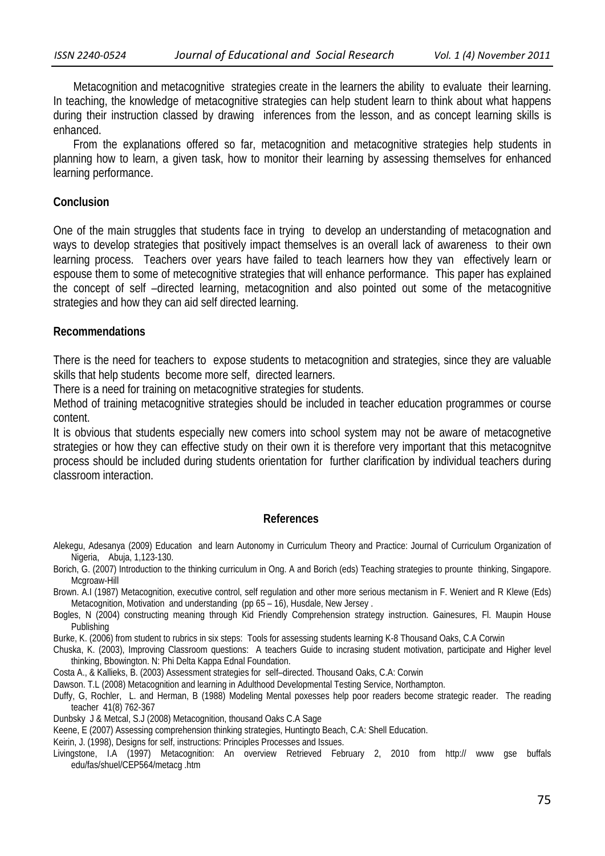Metacognition and metacognitive strategies create in the learners the ability to evaluate their learning. In teaching, the knowledge of metacognitive strategies can help student learn to think about what happens during their instruction classed by drawing inferences from the lesson, and as concept learning skills is enhanced.

 From the explanations offered so far, metacognition and metacognitive strategies help students in planning how to learn, a given task, how to monitor their learning by assessing themselves for enhanced learning performance.

#### **Conclusion**

One of the main struggles that students face in trying to develop an understanding of metacognation and ways to develop strategies that positively impact themselves is an overall lack of awareness to their own learning process. Teachers over years have failed to teach learners how they van effectively learn or espouse them to some of metecognitive strategies that will enhance performance. This paper has explained the concept of self –directed learning, metacognition and also pointed out some of the metacognitive strategies and how they can aid self directed learning.

#### **Recommendations**

There is the need for teachers to expose students to metacognition and strategies, since they are valuable skills that help students become more self, directed learners.

There is a need for training on metacognitive strategies for students.

Method of training metacognitive strategies should be included in teacher education programmes or course content.

It is obvious that students especially new comers into school system may not be aware of metacognetive strategies or how they can effective study on their own it is therefore very important that this metacognitve process should be included during students orientation for further clarification by individual teachers during classroom interaction.

#### **References**

- Alekegu, Adesanya (2009) Education and learn Autonomy in Curriculum Theory and Practice: Journal of Curriculum Organization of Nigeria, Abuja, 1,123-130.
- Borich, G. (2007) Introduction to the thinking curriculum in Ong. A and Borich (eds) Teaching strategies to prounte thinking, Singapore. Mcgroaw-Hill
- Brown. A.I (1987) Metacognition, executive control, self regulation and other more serious mectanism in F. Weniert and R Klewe (Eds) Metacognition, Motivation and understanding (pp 65 – 16), Husdale, New Jersey.
- Bogles, N (2004) constructing meaning through Kid Friendly Comprehension strategy instruction. Gainesures, Fl. Maupin House Publishing
- Burke, K. (2006) from student to rubrics in six steps: Tools for assessing students learning K-8 Thousand Oaks, C.A Corwin
- Chuska, K. (2003), Improving Classroom questions: A teachers Guide to incrasing student motivation, participate and Higher level thinking, Bbowington. N: Phi Delta Kappa Ednal Foundation.
- Costa A., & Kallieks, B. (2003) Assessment strategies for self–directed. Thousand Oaks, C.A: Corwin
- Dawson. T.L (2008) Metacognition and learning in Adulthood Developmental Testing Service, Northampton.
- Duffy, G, Rochler, L. and Herman, B (1988) Modeling Mental poxesses help poor readers become strategic reader. The reading teacher 41(8) 762-367
- Dunbsky J & Metcal, S.J (2008) Metacognition, thousand Oaks C.A Sage
- Keene, E (2007) Assessing comprehension thinking strategies, Huntingto Beach, C.A: Shell Education.
- Keirin, J. (1998), Designs for self, instructions: Principles Processes and Issues.
- Livingstone, I.A (1997) Metacognition: An overview Retrieved February 2, 2010 from http:// www gse buffals edu/fas/shuel/CEP564/metacg .htm